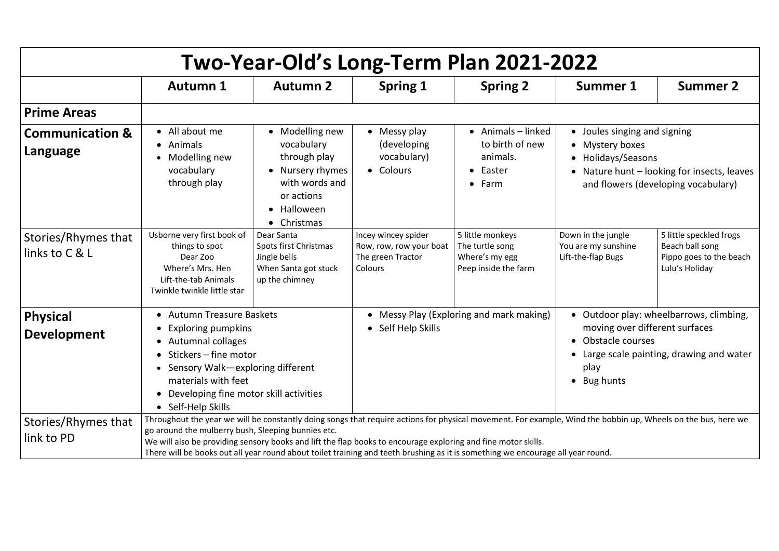| )22             |                            |                                           |
|-----------------|----------------------------|-------------------------------------------|
| <b>Summer 1</b> |                            | <b>Summer 2</b>                           |
|                 |                            |                                           |
|                 | Joules singing and signing |                                           |
|                 | <b>Mystery boxes</b>       |                                           |
|                 | Holidays/Seasons           |                                           |
|                 |                            | Nature hunt – looking for insects, leaves |
|                 |                            | and flowers (developing vocabulary)       |

| Two-Year-Old's Long-Term Plan 2021-2022 |                                                                                                                                                                                                                                                                                                                                                                                                                                                                      |                                                                                                                                 |                                                                                       |                                                                                         |                                                                                                                                                            |                                                                                      |  |  |
|-----------------------------------------|----------------------------------------------------------------------------------------------------------------------------------------------------------------------------------------------------------------------------------------------------------------------------------------------------------------------------------------------------------------------------------------------------------------------------------------------------------------------|---------------------------------------------------------------------------------------------------------------------------------|---------------------------------------------------------------------------------------|-----------------------------------------------------------------------------------------|------------------------------------------------------------------------------------------------------------------------------------------------------------|--------------------------------------------------------------------------------------|--|--|
|                                         | <b>Autumn 1</b>                                                                                                                                                                                                                                                                                                                                                                                                                                                      | <b>Autumn 2</b>                                                                                                                 | <b>Spring 1</b>                                                                       | <b>Spring 2</b>                                                                         | <b>Summer 1</b>                                                                                                                                            | <b>Summer 2</b>                                                                      |  |  |
| <b>Prime Areas</b>                      |                                                                                                                                                                                                                                                                                                                                                                                                                                                                      |                                                                                                                                 |                                                                                       |                                                                                         |                                                                                                                                                            |                                                                                      |  |  |
| <b>Communication &amp;</b><br>Language  | • All about me<br>• Animals<br>Modelling new<br>$\bullet$<br>vocabulary<br>through play                                                                                                                                                                                                                                                                                                                                                                              | • Modelling new<br>vocabulary<br>through play<br>• Nursery rhymes<br>with words and<br>or actions<br>• Halloween<br>• Christmas | • Messy play<br>(developing<br>vocabulary)<br>• Colours                               | $\bullet$ Animals - linked<br>to birth of new<br>animals.<br>• Easter<br>$\bullet$ Farm | • Joules singing and signing<br>• Mystery boxes<br>• Holidays/Seasons<br>Nature hunt - looking for insects, lea<br>and flowers (developing vocabulary)     |                                                                                      |  |  |
| Stories/Rhymes that<br>links to C & L   | Usborne very first book of<br>things to spot<br>Dear Zoo<br>Where's Mrs. Hen<br>Lift-the-tab Animals<br>Twinkle twinkle little star                                                                                                                                                                                                                                                                                                                                  | Dear Santa<br>Spots first Christmas<br>Jingle bells<br>When Santa got stuck<br>up the chimney                                   | Incey wincey spider<br>Row, row, row your boat<br>The green Tractor<br><b>Colours</b> | 5 little monkeys<br>The turtle song<br>Where's my egg<br>Peep inside the farm           | Down in the jungle<br>You are my sunshine<br>Lift-the-flap Bugs                                                                                            | 5 little speckled frogs<br>Beach ball song<br>Pippo goes to the be<br>Lulu's Holiday |  |  |
| <b>Physical</b><br><b>Development</b>   | <b>Autumn Treasure Baskets</b><br>$\bullet$<br><b>Exploring pumpkins</b><br>• Autumnal collages<br>$\bullet$ Stickers – fine motor<br>• Sensory Walk-exploring different<br>materials with feet<br>Developing fine motor skill activities<br>$\bullet$<br>• Self-Help Skills                                                                                                                                                                                         |                                                                                                                                 | Messy Play (Exploring and mark making)<br>Self Help Skills                            |                                                                                         | Outdoor play: wheelbarrows, climbir<br>moving over different surfaces<br>• Obstacle courses<br>Large scale painting, drawing and wa<br>play<br>• Bug hunts |                                                                                      |  |  |
| Stories/Rhymes that<br>link to PD       | Throughout the year we will be constantly doing songs that require actions for physical movement. For example, Wind the bobbin up, Wheels on the bus, here<br>go around the mulberry bush, Sleeping bunnies etc.<br>We will also be providing sensory books and lift the flap books to encourage exploring and fine motor skills.<br>There will be books out all year round about toilet training and teeth brushing as it is something we encourage all year round. |                                                                                                                                 |                                                                                       |                                                                                         |                                                                                                                                                            |                                                                                      |  |  |

| 5 little speckled frogs                   |
|-------------------------------------------|
| Beach ball song                           |
| Pippo goes to the beach<br>Lulu's Holiday |
|                                           |

 Outdoor play: wheelbarrows, climbing, moving over different surfaces

- Obstacle courses
- Large scale painting, drawing and water play
- Bug hunts

the bobbin up, Wheels on the bus, here we